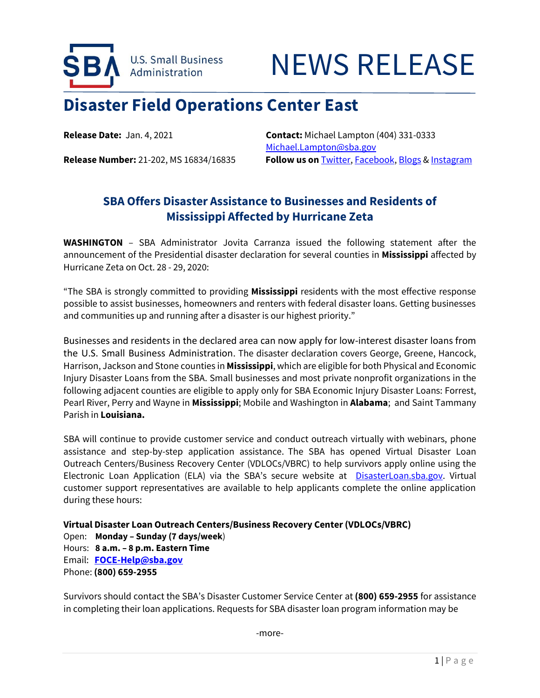

# NEWS RELEASE

# **Disaster Field Operations Center East**

**Release Date:** Jan. 4, 2021 **Contact:** Michael Lampton (404) 331-0333 [Michael.Lampton@sba.gov](mailto:Michael.Lampton@sba.gov) **Release Number:** 21-202, MS 16834/16835 **Follow us on** [Twitter,](http://www.twitter.com/SBAgov) [Facebook,](http://www.facebook.com/sbagov) [Blogs](http://www.sba.gov/blogs) [& Instagram](https://www.instagram.com/sbagov/)

### **SBA Offers Disaster Assistance to Businesses and Residents of Mississippi Affected by Hurricane Zeta**

**WASHINGTON** – SBA Administrator Jovita Carranza issued the following statement after the announcement of the Presidential disaster declaration for several counties in **Mississippi** affected by Hurricane Zeta on Oct. 28 - 29, 2020:

"The SBA is strongly committed to providing **Mississippi** residents with the most effective response possible to assist businesses, homeowners and renters with federal disaster loans. Getting businesses and communities up and running after a disaster is our highest priority."

Businesses and residents in the declared area can now apply for low-interest disaster loans from the U.S. Small Business Administration. The disaster declaration covers George, Greene, Hancock, Harrison, Jackson and Stone counties in **Mississippi**, which are eligible for both Physical and Economic Injury Disaster Loans from the SBA. Small businesses and most private nonprofit organizations in the following adjacent counties are eligible to apply only for SBA Economic Injury Disaster Loans: Forrest, Pearl River, Perry and Wayne in **Mississippi**; Mobile and Washington in **Alabama**; and Saint Tammany Parish in **Louisiana.**

SBA will continue to provide customer service and conduct outreach virtually with webinars, phone assistance and step-by-step application assistance. The SBA has opened Virtual Disaster Loan Outreach Centers/Business Recovery Center (VDLOCs/VBRC) to help survivors apply online using the Electronic Loan Application (ELA) via the SBA's secure website at [DisasterLoan.sba.gov.](https://disasterloan.sba.gov/) Virtual customer support representatives are available to help applicants complete the online application during these hours:

**Virtual Disaster Loan Outreach Centers/Business Recovery Center (VDLOCs/VBRC)** Open: **Monday – Sunday (7 days/week**) Hours: **8 a.m. – 8 p.m. Eastern Time** Email: **[FOCE-Help@sba.gov](mailto:FOCE-Help@sba.gov)** Phone: **(800) 659-2955**

Survivors should contact the SBA's Disaster Customer Service Center at **(800) 659-2955** for assistance in completing their loan applications. Requests for SBA disaster loan program information may be

-more-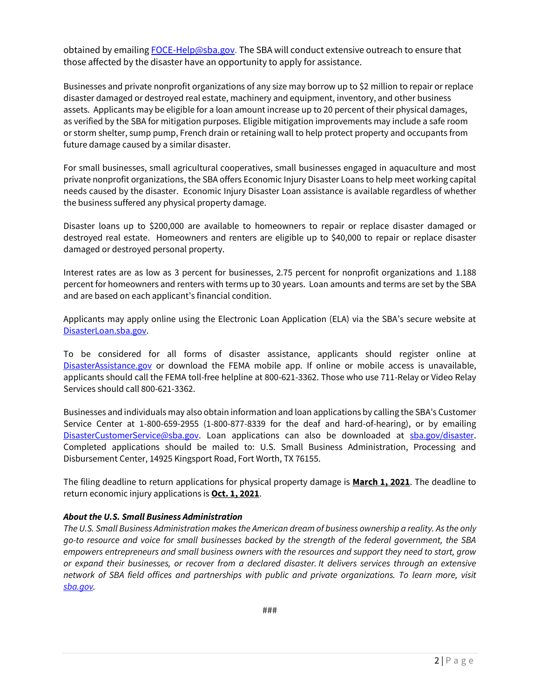obtained by emailing [FOCE-Help@sba.gov.](mailto:FOCE-Help@sba.gov) The SBA will conduct extensive outreach to ensure that those affected by the disaster have an opportunity to apply for assistance.

Businesses and private nonprofit organizations of any size may borrow up to \$2 million to repair or replace disaster damaged or destroyed real estate, machinery and equipment, inventory, and other business assets. Applicants may be eligible for a loan amount increase up to 20 percent of their physical damages, as verified by the SBA for mitigation purposes. Eligible mitigation improvements may include a safe room or storm shelter, sump pump, French drain or retaining wall to help protect property and occupants from future damage caused by a similar disaster.

For small businesses, small agricultural cooperatives, small businesses engaged in aquaculture and most private nonprofit organizations, the SBA offers Economic Injury Disaster Loans to help meet working capital needs caused by the disaster. Economic Injury Disaster Loan assistance is available regardless of whether the business suffered any physical property damage.

Disaster loans up to \$200,000 are available to homeowners to repair or replace disaster damaged or destroyed real estate. Homeowners and renters are eligible up to \$40,000 to repair or replace disaster damaged or destroyed personal property.

Interest rates are as low as 3 percent for businesses, 2.75 percent for nonprofit organizations and 1.188 percent for homeowners and renters with terms up to 30 years. Loan amounts and terms are set by the SBA and are based on each applicant's financial condition.

Applicants may apply online using the Electronic Loan Application (ELA) via the SBA's secure website at [DisasterLoan.sba.gov.](https://disasterloanassistance.sba.gov/)

To be considered for all forms of disaster assistance, applicants should register online at [DisasterAssistance.gov](http://www.disasterassistance.gov/) or download the FEMA mobile app. If online or mobile access is unavailable, applicants should call the FEMA toll-free helpline at 800-621-3362. Those who use 711-Relay or Video Relay Services should call 800-621-3362.

Businesses and individuals may also obtain information and loan applications by calling the SBA's Customer Service Center at 1-800-659-2955 (1-800-877-8339 for the deaf and hard-of-hearing), or by emailing [DisasterCustomerService@sba.gov.](mailto:DisasterCustomerService@sba.gov) Loan applications can also be downloaded at [sba.gov/disaster.](https://disasterloan.sba.gov/ela/Information/PaperForms) Completed applications should be mailed to: U.S. Small Business Administration, Processing and Disbursement Center, 14925 Kingsport Road, Fort Worth, TX 76155.

The filing deadline to return applications for physical property damage is **March 1, 2021**. The deadline to return economic injury applications is **Oct. 1, 2021**.

#### *About the U.S. Small Business Administration*

*The U.S. Small Business Administration makes the American dream of business ownership a reality. As the only go-to resource and voice for small businesses backed by the strength of the federal government, the SBA empowers entrepreneurs and small business owners with the resources and support they need to start, grow or expand their businesses, or recover from a declared disaster. It delivers services through an extensive network of SBA field offices and partnerships with public and private organizations. To learn more, visit [sba.gov.](http://www.sba.gov/)*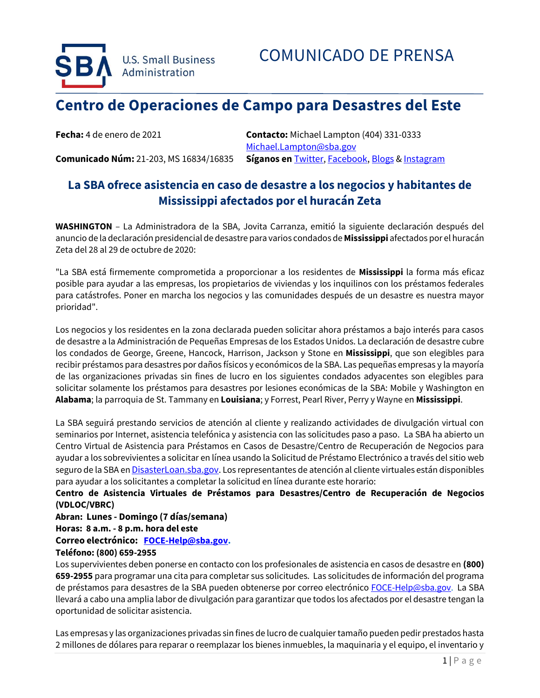

## **Centro de Operaciones de Campo para Desastres del Este**

**Fecha:** 4 de enero de 2021 **Contacto:** Michael Lampton (404) 331-0333 [Michael.Lampton@sba.gov](mailto:Michael.Lampton@sba.gov) **Comunicado Núm:** 21-203, MS 16834/16835 **Síganos en** [Twitter,](http://www.twitter.com/SBAgov) [Facebook,](http://www.facebook.com/sbagov) [Blogs](http://www.sba.gov/blogs) & [Instagram](https://www.instagram.com/sbagov/)

## **La SBA ofrece asistencia en caso de desastre a los negocios y habitantes de Mississippi afectados por el huracán Zeta**

**WASHINGTON** – La Administradora de la SBA, Jovita Carranza, emitió la siguiente declaración después del anuncio de la declaración presidencial de desastre para varios condados de **Mississippi** afectados por el huracán Zeta del 28 al 29 de octubre de 2020:

"La SBA está firmemente comprometida a proporcionar a los residentes de **Mississippi** la forma más eficaz posible para ayudar a las empresas, los propietarios de viviendas y los inquilinos con los préstamos federales para catástrofes. Poner en marcha los negocios y las comunidades después de un desastre es nuestra mayor prioridad".

Los negocios y los residentes en la zona declarada pueden solicitar ahora préstamos a bajo interés para casos de desastre a la Administración de Pequeñas Empresas de los Estados Unidos. La declaración de desastre cubre los condados de George, Greene, Hancock, Harrison, Jackson y Stone en **Mississippi**, que son elegibles para recibir préstamos para desastres por daños físicos y económicos de la SBA. Las pequeñas empresas y la mayoría de las organizaciones privadas sin fines de lucro en los siguientes condados adyacentes son elegibles para solicitar solamente los préstamos para desastres por lesiones económicas de la SBA: Mobile y Washington en **Alabama**; la parroquia de St. Tammany en **Louisiana**; y Forrest, Pearl River, Perry y Wayne en **Mississippi**.

La SBA seguirá prestando servicios de atención al cliente y realizando actividades de divulgación virtual con seminarios por Internet, asistencia telefónica y asistencia con las solicitudes paso a paso. La SBA ha abierto un Centro Virtual de Asistencia para Préstamos en Casos de Desastre/Centro de Recuperación de Negocios para ayudar a los sobrevivientes a solicitar en línea usando la Solicitud de Préstamo Electrónico a través del sitio web seguro de la SBA en *[DisasterLoan.sba.gov](https://disasterloan.sba.gov/)*. Los representantes de atención al cliente virtuales están disponibles para ayudar a los solicitantes a completar la solicitud en línea durante este horario:

#### **Centro de Asistencia Virtuales de Préstamos para Desastres/Centro de Recuperación de Negocios (VDLOC/VBRC)**

#### **Abran: Lunes - Domingo (7 días/semana)**

#### **Horas: 8 a.m. - 8 p.m. hora del este**

#### **Correo electrónico: [FOCE-Help@sba.gov.](mailto:FOCE-Help@sba.gov)**

#### **Teléfono: (800) 659-2955**

Los supervivientes deben ponerse en contacto con los profesionales de asistencia en casos de desastre en **(800) 659-2955** para programar una cita para completar sus solicitudes. Las solicitudes de información del programa de préstamos para desastres de la SBA pueden obtenerse por correo electrónico [FOCE-Help@sba.gov.](mailto:FOCE-Help@sba.gov) La SBA llevará a cabo una amplia labor de divulgación para garantizar que todos los afectados por el desastre tengan la oportunidad de solicitar asistencia.

Las empresas y las organizaciones privadas sin fines de lucro de cualquier tamaño pueden pedir prestados hasta 2 millones de dólares para reparar o reemplazar los bienes inmuebles, la maquinaria y el equipo, el inventario y